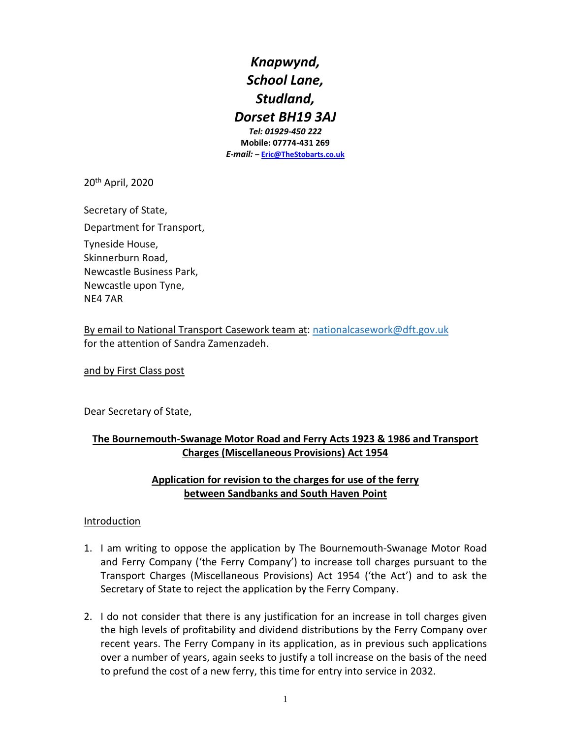*Knapwynd, School Lane, Studland, Dorset BH19 3AJ*

*Tel: 01929-450 222* **Mobile: 07774-431 269** *E-mail:* **– [Eric@TheStobarts.co.uk](mailto:Eric@TheStobarts.co.uk)**

20th April, 2020

Secretary of State, Department for Transport, Tyneside House, Skinnerburn Road, Newcastle Business Park, Newcastle upon Tyne, NE4 7AR

By email to National Transport Casework team at: [nationalcasework@dft.gov.uk](mailto:nationalcasework@dft.gov.uk) for the attention of Sandra Zamenzadeh.

and by First Class post

Dear Secretary of State,

## **The Bournemouth-Swanage Motor Road and Ferry Acts 1923 & 1986 and Transport Charges (Miscellaneous Provisions) Act 1954**

#### **Application for revision to the charges for use of the ferry between Sandbanks and South Haven Point**

#### Introduction

- 1. I am writing to oppose the application by The Bournemouth-Swanage Motor Road and Ferry Company ('the Ferry Company') to increase toll charges pursuant to the Transport Charges (Miscellaneous Provisions) Act 1954 ('the Act') and to ask the Secretary of State to reject the application by the Ferry Company.
- 2. I do not consider that there is any justification for an increase in toll charges given the high levels of profitability and dividend distributions by the Ferry Company over recent years. The Ferry Company in its application, as in previous such applications over a number of years, again seeks to justify a toll increase on the basis of the need to prefund the cost of a new ferry, this time for entry into service in 2032.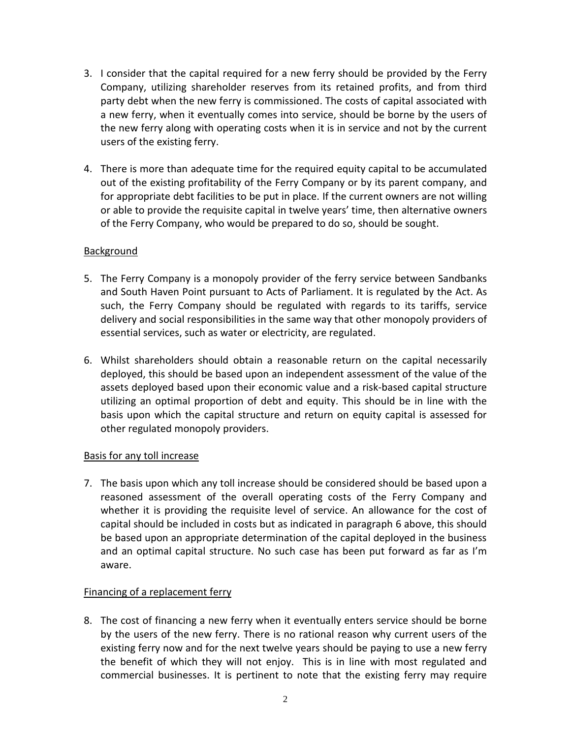- 3. I consider that the capital required for a new ferry should be provided by the Ferry Company, utilizing shareholder reserves from its retained profits, and from third party debt when the new ferry is commissioned. The costs of capital associated with a new ferry, when it eventually comes into service, should be borne by the users of the new ferry along with operating costs when it is in service and not by the current users of the existing ferry.
- 4. There is more than adequate time for the required equity capital to be accumulated out of the existing profitability of the Ferry Company or by its parent company, and for appropriate debt facilities to be put in place. If the current owners are not willing or able to provide the requisite capital in twelve years' time, then alternative owners of the Ferry Company, who would be prepared to do so, should be sought.

## Background

- 5. The Ferry Company is a monopoly provider of the ferry service between Sandbanks and South Haven Point pursuant to Acts of Parliament. It is regulated by the Act. As such, the Ferry Company should be regulated with regards to its tariffs, service delivery and social responsibilities in the same way that other monopoly providers of essential services, such as water or electricity, are regulated.
- 6. Whilst shareholders should obtain a reasonable return on the capital necessarily deployed, this should be based upon an independent assessment of the value of the assets deployed based upon their economic value and a risk-based capital structure utilizing an optimal proportion of debt and equity. This should be in line with the basis upon which the capital structure and return on equity capital is assessed for other regulated monopoly providers.

## Basis for any toll increase

7. The basis upon which any toll increase should be considered should be based upon a reasoned assessment of the overall operating costs of the Ferry Company and whether it is providing the requisite level of service. An allowance for the cost of capital should be included in costs but as indicated in paragraph 6 above, this should be based upon an appropriate determination of the capital deployed in the business and an optimal capital structure. No such case has been put forward as far as I'm aware.

# Financing of a replacement ferry

8. The cost of financing a new ferry when it eventually enters service should be borne by the users of the new ferry. There is no rational reason why current users of the existing ferry now and for the next twelve years should be paying to use a new ferry the benefit of which they will not enjoy. This is in line with most regulated and commercial businesses. It is pertinent to note that the existing ferry may require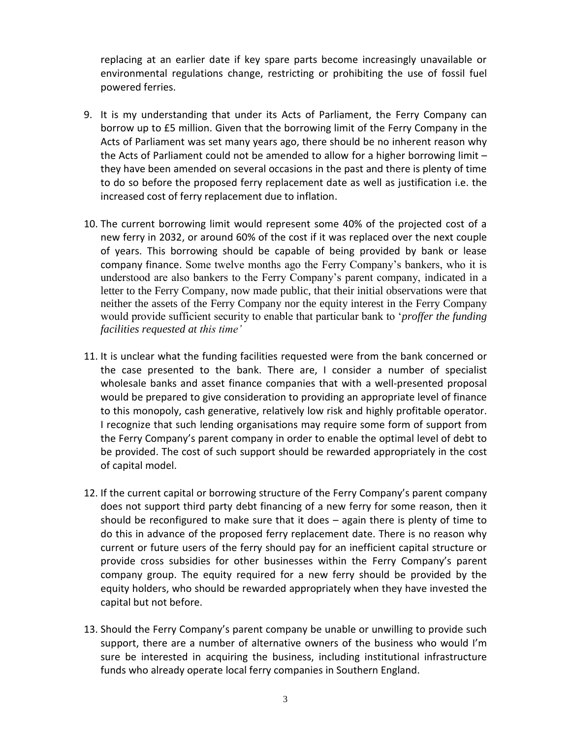replacing at an earlier date if key spare parts become increasingly unavailable or environmental regulations change, restricting or prohibiting the use of fossil fuel powered ferries.

- 9. It is my understanding that under its Acts of Parliament, the Ferry Company can borrow up to £5 million. Given that the borrowing limit of the Ferry Company in the Acts of Parliament was set many years ago, there should be no inherent reason why the Acts of Parliament could not be amended to allow for a higher borrowing limit – they have been amended on several occasions in the past and there is plenty of time to do so before the proposed ferry replacement date as well as justification i.e. the increased cost of ferry replacement due to inflation.
- 10. The current borrowing limit would represent some 40% of the projected cost of a new ferry in 2032, or around 60% of the cost if it was replaced over the next couple of years. This borrowing should be capable of being provided by bank or lease company finance. Some twelve months ago the Ferry Company's bankers, who it is understood are also bankers to the Ferry Company's parent company, indicated in a letter to the Ferry Company, now made public, that their initial observations were that neither the assets of the Ferry Company nor the equity interest in the Ferry Company would provide sufficient security to enable that particular bank to '*proffer the funding facilities requested at this time'*
- 11. It is unclear what the funding facilities requested were from the bank concerned or the case presented to the bank. There are, I consider a number of specialist wholesale banks and asset finance companies that with a well-presented proposal would be prepared to give consideration to providing an appropriate level of finance to this monopoly, cash generative, relatively low risk and highly profitable operator. I recognize that such lending organisations may require some form of support from the Ferry Company's parent company in order to enable the optimal level of debt to be provided. The cost of such support should be rewarded appropriately in the cost of capital model.
- 12. If the current capital or borrowing structure of the Ferry Company's parent company does not support third party debt financing of a new ferry for some reason, then it should be reconfigured to make sure that it does – again there is plenty of time to do this in advance of the proposed ferry replacement date. There is no reason why current or future users of the ferry should pay for an inefficient capital structure or provide cross subsidies for other businesses within the Ferry Company's parent company group. The equity required for a new ferry should be provided by the equity holders, who should be rewarded appropriately when they have invested the capital but not before.
- 13. Should the Ferry Company's parent company be unable or unwilling to provide such support, there are a number of alternative owners of the business who would I'm sure be interested in acquiring the business, including institutional infrastructure funds who already operate local ferry companies in Southern England.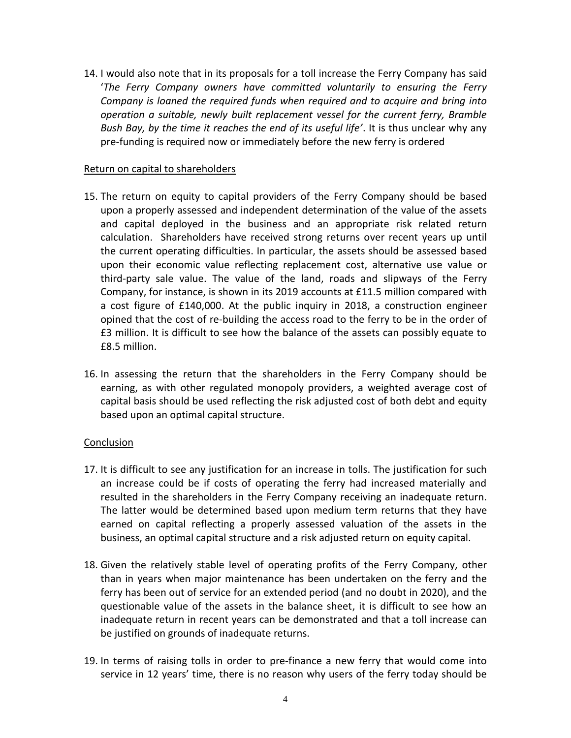14. I would also note that in its proposals for a toll increase the Ferry Company has said '*The Ferry Company owners have committed voluntarily to ensuring the Ferry Company is loaned the required funds when required and to acquire and bring into operation a suitable, newly built replacement vessel for the current ferry, Bramble Bush Bay, by the time it reaches the end of its useful life'*. It is thus unclear why any pre-funding is required now or immediately before the new ferry is ordered

#### Return on capital to shareholders

- 15. The return on equity to capital providers of the Ferry Company should be based upon a properly assessed and independent determination of the value of the assets and capital deployed in the business and an appropriate risk related return calculation. Shareholders have received strong returns over recent years up until the current operating difficulties. In particular, the assets should be assessed based upon their economic value reflecting replacement cost, alternative use value or third-party sale value. The value of the land, roads and slipways of the Ferry Company, for instance, is shown in its 2019 accounts at £11.5 million compared with a cost figure of £140,000. At the public inquiry in 2018, a construction engineer opined that the cost of re-building the access road to the ferry to be in the order of £3 million. It is difficult to see how the balance of the assets can possibly equate to £8.5 million.
- 16. In assessing the return that the shareholders in the Ferry Company should be earning, as with other regulated monopoly providers, a weighted average cost of capital basis should be used reflecting the risk adjusted cost of both debt and equity based upon an optimal capital structure.

#### Conclusion

- 17. It is difficult to see any justification for an increase in tolls. The justification for such an increase could be if costs of operating the ferry had increased materially and resulted in the shareholders in the Ferry Company receiving an inadequate return. The latter would be determined based upon medium term returns that they have earned on capital reflecting a properly assessed valuation of the assets in the business, an optimal capital structure and a risk adjusted return on equity capital.
- 18. Given the relatively stable level of operating profits of the Ferry Company, other than in years when major maintenance has been undertaken on the ferry and the ferry has been out of service for an extended period (and no doubt in 2020), and the questionable value of the assets in the balance sheet, it is difficult to see how an inadequate return in recent years can be demonstrated and that a toll increase can be justified on grounds of inadequate returns.
- 19. In terms of raising tolls in order to pre-finance a new ferry that would come into service in 12 years' time, there is no reason why users of the ferry today should be